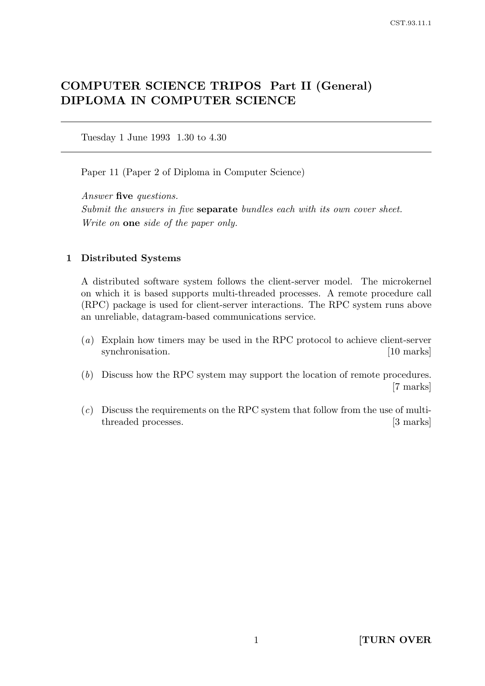# COMPUTER SCIENCE TRIPOS Part II (General) DIPLOMA IN COMPUTER SCIENCE

Tuesday 1 June 1993 1.30 to 4.30

Paper 11 (Paper 2 of Diploma in Computer Science)

Answer five questions. Submit the answers in five separate bundles each with its own cover sheet. Write on **one** side of the paper only.

# 1 Distributed Systems

A distributed software system follows the client-server model. The microkernel on which it is based supports multi-threaded processes. A remote procedure call (RPC) package is used for client-server interactions. The RPC system runs above an unreliable, datagram-based communications service.

- (a) Explain how timers may be used in the RPC protocol to achieve client-server synchronisation. [10 marks]
- (b) Discuss how the RPC system may support the location of remote procedures. [7 marks]
- $(c)$  Discuss the requirements on the RPC system that follow from the use of multithreaded processes. [3 marks]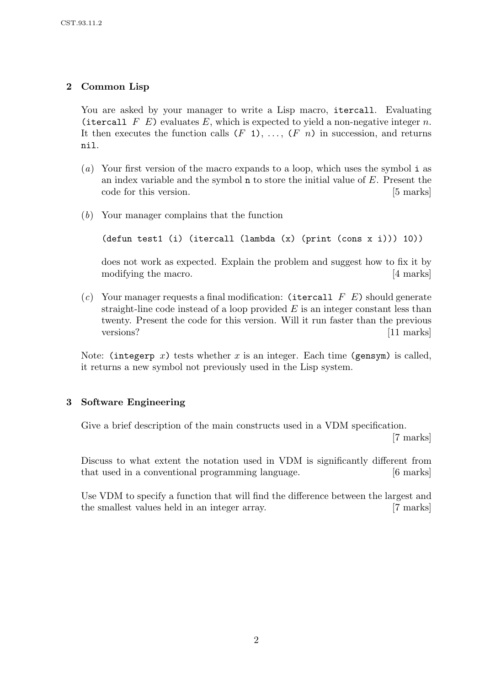# 2 Common Lisp

You are asked by your manager to write a Lisp macro, itercall. Evaluating (itercall F E) evaluates E, which is expected to yield a non-negative integer n. It then executes the function calls  $(F_1), \ldots, (F_n)$  in succession, and returns nil.

- (a) Your first version of the macro expands to a loop, which uses the symbol i as an index variable and the symbol n to store the initial value of E. Present the code for this version. [5 marks]
- (b) Your manager complains that the function

```
(defun test1 (i) (itercall (lambda (x) (print (cons x i))) 10))
```
does not work as expected. Explain the problem and suggest how to fix it by modifying the macro. [4 marks]

(c) Your manager requests a final modification: (itercall  $F E$ ) should generate straight-line code instead of a loop provided  $E$  is an integer constant less than twenty. Present the code for this version. Will it run faster than the previous versions? [11 marks]

Note: (integerp x) tests whether x is an integer. Each time (gensym) is called, it returns a new symbol not previously used in the Lisp system.

# 3 Software Engineering

Give a brief description of the main constructs used in a VDM specification.

[7 marks]

Discuss to what extent the notation used in VDM is significantly different from that used in a conventional programming language. [6 marks]

Use VDM to specify a function that will find the difference between the largest and the smallest values held in an integer array. [7 marks]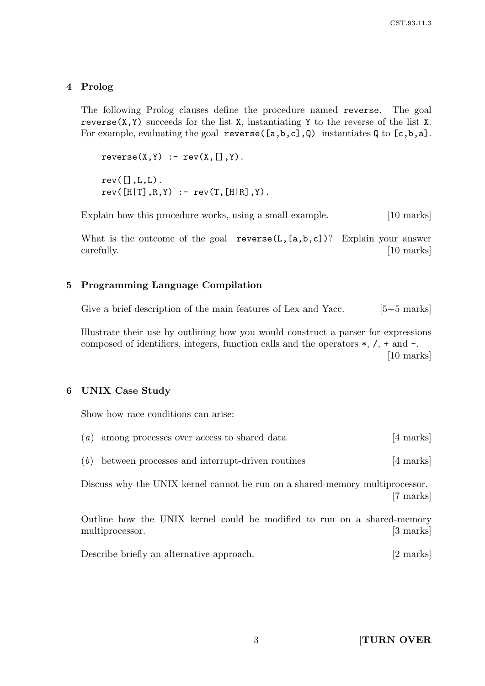## 4 Prolog

The following Prolog clauses define the procedure named reverse. The goal reverse $(X, Y)$  succeeds for the list X, instantiating Y to the reverse of the list X. For example, evaluating the goal reverse  $([a,b,c],\mathbb{Q})$  instantiates  $\mathbb{Q}$  to  $[c,b,a]$ .

 $reverse(X,Y) := rev(X,[],Y)$ .  $rev([], L, L)$ .  $rev([H|T], R, Y)$  :-  $rev(T, [H|R], Y)$ .

Explain how this procedure works, using a small example. [10 marks]

What is the outcome of the goal reverse( $L$ ,  $[a, b, c]$ )? Explain your answer carefully. [10 marks]

### 5 Programming Language Compilation

Give a brief description of the main features of Lex and Yacc. [5+5 marks]

Illustrate their use by outlining how you would construct a parser for expressions composed of identifiers, integers, function calls and the operators  $*, \, \lambda, + \, \text{and} - \, \lambda$ . [10 marks]

#### 6 UNIX Case Study

Show how race conditions can arise:

|  | $(a)$ among processes over access to shared data | [4 marks] |
|--|--------------------------------------------------|-----------|
|  |                                                  |           |

|  |  | $(b)$ between processes and interrupt-driven routines | [4 marks] |  |
|--|--|-------------------------------------------------------|-----------|--|
|--|--|-------------------------------------------------------|-----------|--|

Discuss why the UNIX kernel cannot be run on a shared-memory multiprocessor. [7 marks]

Outline how the UNIX kernel could be modified to run on a shared-memory multiprocessor. [3 marks]

Describe briefly an alternative approach. [2 marks]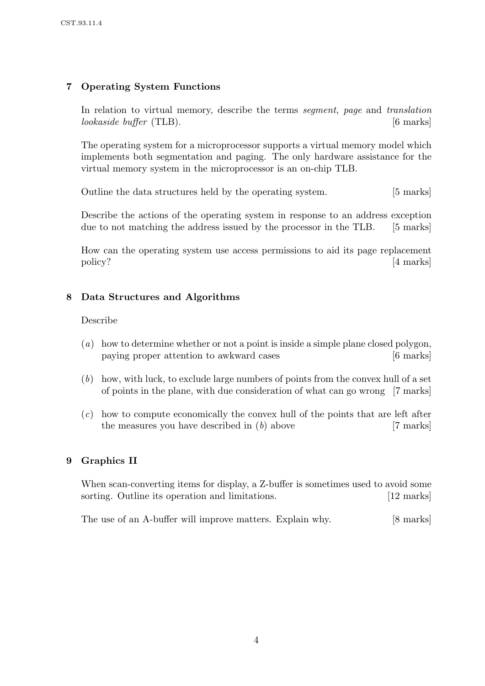# 7 Operating System Functions

In relation to virtual memory, describe the terms segment, page and translation lookaside buffer (TLB). [6 marks]

The operating system for a microprocessor supports a virtual memory model which implements both segmentation and paging. The only hardware assistance for the virtual memory system in the microprocessor is an on-chip TLB.

Outline the data structures held by the operating system. [5 marks]

Describe the actions of the operating system in response to an address exception due to not matching the address issued by the processor in the TLB. [5 marks]

How can the operating system use access permissions to aid its page replacement policy? [4 marks]

# 8 Data Structures and Algorithms

### Describe

- (a) how to determine whether or not a point is inside a simple plane closed polygon, paying proper attention to awkward cases [6 marks]
- (b) how, with luck, to exclude large numbers of points from the convex hull of a set of points in the plane, with due consideration of what can go wrong [7 marks]
- $(c)$  how to compute economically the convex hull of the points that are left after the measures you have described in  $(b)$  above [7 marks]

# 9 Graphics II

When scan-converting items for display, a Z-buffer is sometimes used to avoid some sorting. Outline its operation and limitations. [12 marks]

The use of an A-buffer will improve matters. Explain why. [8 marks]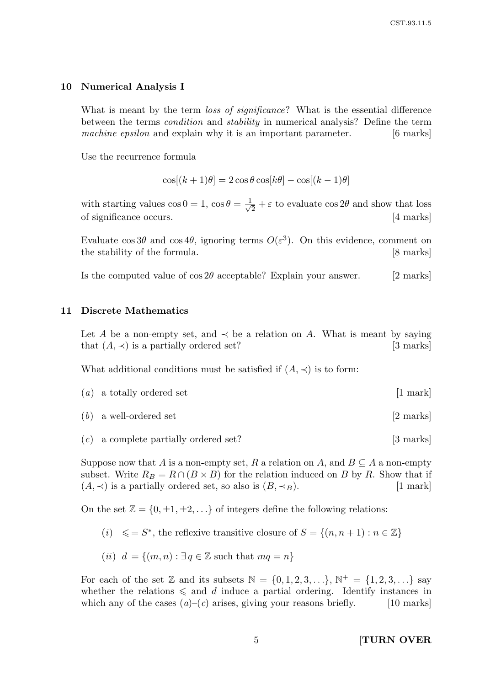### 10 Numerical Analysis I

What is meant by the term *loss of significance*? What is the essential difference between the terms condition and stability in numerical analysis? Define the term machine epsilon and explain why it is an important parameter. [6 marks]

Use the recurrence formula

$$
\cos[(k+1)\theta] = 2\cos\theta\cos[k\theta] - \cos[(k-1)\theta]
$$

with starting values  $\cos 0 = 1$ ,  $\cos \theta = \frac{1}{\sqrt{2}}$  $\frac{1}{2} + \varepsilon$  to evaluate  $\cos 2\theta$  and show that loss of significance occurs. [4 marks]

Evaluate  $\cos 3\theta$  and  $\cos 4\theta$ , ignoring terms  $O(\varepsilon^3)$ . On this evidence, comment on the stability of the formula. [8 marks]

Is the computed value of  $\cos 2\theta$  acceptable? Explain your answer. [2 marks]

#### 11 Discrete Mathematics

Let A be a non-empty set, and  $\prec$  be a relation on A. What is meant by saying that  $(A, \prec)$  is a partially ordered set? [3 marks]

What additional conditions must be satisfied if  $(A, \prec)$  is to form:

- $(a)$  a totally ordered set [1 mark]
- $(b)$  a well-ordered set [2 marks]
- $(c)$  a complete partially ordered set? [3 marks]

Suppose now that A is a non-empty set, R a relation on A, and  $B \subseteq A$  a non-empty subset. Write  $R_B = R \cap (B \times B)$  for the relation induced on B by R. Show that if  $(A, \prec)$  is a partially ordered set, so also is  $(B, \prec_B)$ . [1 mark]

On the set  $\mathbb{Z} = \{0, \pm 1, \pm 2, \ldots\}$  of integers define the following relations:

- (i)  $\leq S^*$ , the reflexive transitive closure of  $S = \{(n, n+1) : n \in \mathbb{Z}\}\$
- (ii)  $d = \{(m, n) : \exists q \in \mathbb{Z} \text{ such that } mq = n\}$

For each of the set  $\mathbb Z$  and its subsets  $\mathbb N = \{0, 1, 2, 3, \ldots\}$ ,  $\mathbb N^+ = \{1, 2, 3, \ldots\}$  say whether the relations  $\leq$  and d induce a partial ordering. Identify instances in which any of the cases  $(a)$ – $(c)$  arises, giving your reasons briefly. [10 marks]